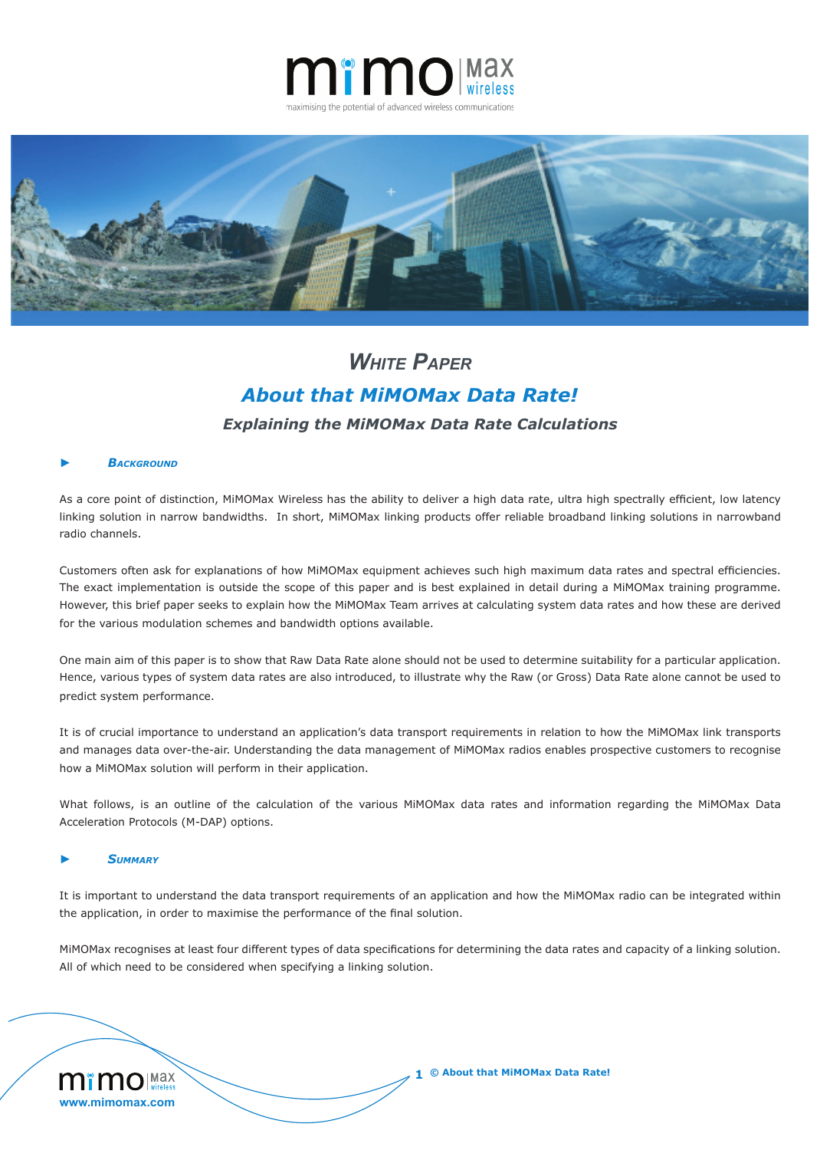



# *Explaining the MiMOMax Data Rate Calculations White Paper About that MiMOMax Data Rate!*

### **ВАСКGROUND**

As a core point of distinction, MiMOMax Wireless has the ability to deliver a high data rate, ultra high spectrally efficient, low latency linking solution in narrow bandwidths. In short, MiMOMax linking products offer reliable broadband linking solutions in narrowband radio channels.

Customers often ask for explanations of how MiMOMax equipment achieves such high maximum data rates and spectral efficiencies. The exact implementation is outside the scope of this paper and is best explained in detail during a MiMOMax training programme. However, this brief paper seeks to explain how the MiMOMax Team arrives at calculating system data rates and how these are derived for the various modulation schemes and bandwidth options available.

One main aim of this paper is to show that Raw Data Rate alone should not be used to determine suitability for a particular application. Hence, various types of system data rates are also introduced, to illustrate why the Raw (or Gross) Data Rate alone cannot be used to predict system performance.

It is of crucial importance to understand an application's data transport requirements in relation to how the MiMOMax link transports and manages data over-the-air. Understanding the data management of MiMOMax radios enables prospective customers to recognise how a MiMOMax solution will perform in their application.

What follows, is an outline of the calculation of the various MiMOMax data rates and information regarding the MiMOMax Data Acceleration Protocols (M-DAP) options.

### ► *Summary*

It is important to understand the data transport requirements of an application and how the MiMOMax radio can be integrated within the application, in order to maximise the performance of the final solution.

 MiMOMax recognises at least four different types of data specifications for determining the data rates and capacity of a linking solution. All of which need to be considered when specifying a linking solution.

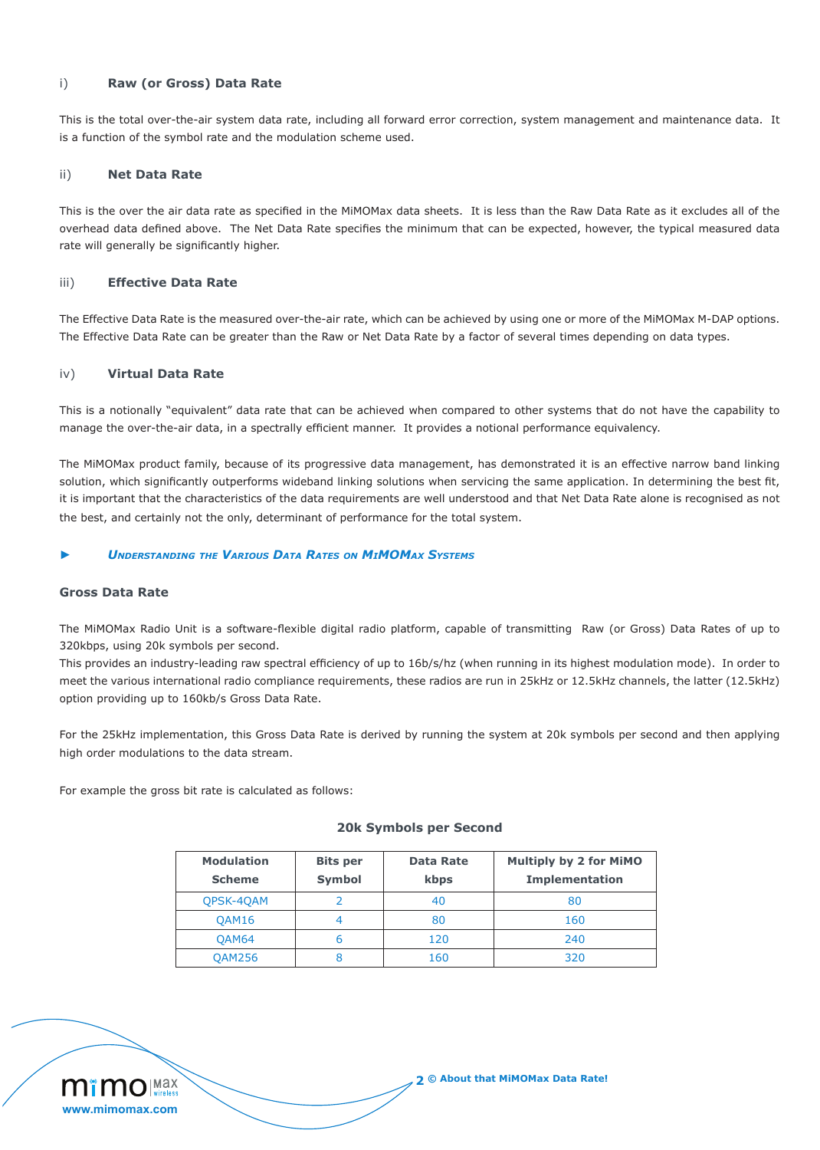## i) **Raw (or Gross) Data Rate**

This is the total over-the-air system data rate, including all forward error correction, system management and maintenance data. It is a function of the symbol rate and the modulation scheme used.

### ii) **Net Data Rate**

This is the over the air data rate as specified in the MiMOMax data sheets. It is less than the Raw Data Rate as it excludes all of the overhead data defined above. The Net Data Rate specifies the minimum that can be expected, however, the typical measured data rate will generally be significantly higher.

#### iii) **Effective Data Rate**

The Effective Data Rate is the measured over-the-air rate, which can be achieved by using one or more of the MiMOMax M-DAP options. The Effective Data Rate can be greater than the Raw or Net Data Rate by a factor of several times depending on data types.

# iv) **Virtual Data Rate**

This is a notionally "equivalent" data rate that can be achieved when compared to other systems that do not have the capability to manage the over-the-air data, in a spectrally efficient manner. It provides a notional performance equivalency.

The MiMOMax product family, because of its progressive data management, has demonstrated it is an effective narrow band linking solution, which significantly outperforms wideband linking solutions when servicing the same application. In determining the best fit, it is important that the characteristics of the data requirements are well understood and that Net Data Rate alone is recognised as not the best, and certainly not the only, determinant of performance for the total system.

#### ► *Understanding the Various Data Rates on MiMOMax Systems*

## **Gross Data Rate**

The MiMOMax Radio Unit is a software-flexible digital radio platform, capable of transmitting Raw (or Gross) Data Rates of up to 320kbps, using 20k symbols per second.

This provides an industry-leading raw spectral efficiency of up to 16b/s/hz (when running in its highest modulation mode). In order to meet the various international radio compliance requirements, these radios are run in 25kHz or 12.5kHz channels, the latter (12.5kHz) option providing up to 160kb/s Gross Data Rate.

For the 25kHz implementation, this Gross Data Rate is derived by running the system at 20k symbols per second and then applying high order modulations to the data stream.

For example the gross bit rate is calculated as follows:

| <b>Modulation</b><br><b>Scheme</b> | <b>Bits per</b><br><b>Symbol</b> | Data Rate<br>kbps | <b>Multiply by 2 for MiMO</b><br><b>Implementation</b> |
|------------------------------------|----------------------------------|-------------------|--------------------------------------------------------|
| <b>OPSK-40AM</b>                   |                                  | 40                | 80                                                     |
| <b>OAM16</b>                       |                                  | 80                | 160                                                    |
| <b>QAM64</b>                       |                                  | 120               | 240                                                    |
| <b>OAM256</b>                      |                                  | 160               | 320                                                    |

#### **20k Symbols per Second**

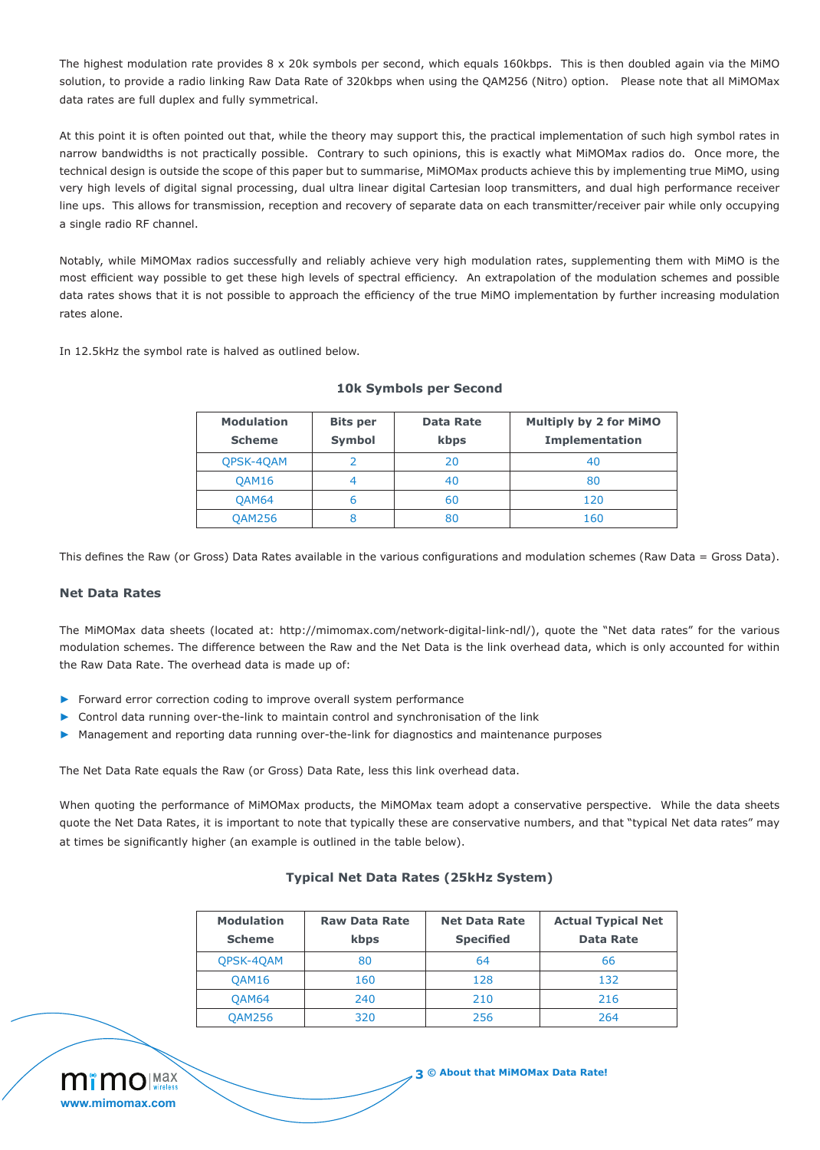The highest modulation rate provides 8 x 20k symbols per second, which equals 160kbps. This is then doubled again via the MiMO solution, to provide a radio linking Raw Data Rate of 320kbps when using the QAM256 (Nitro) option. Please note that all MiMOMax data rates are full duplex and fully symmetrical.

At this point it is often pointed out that, while the theory may support this, the practical implementation of such high symbol rates in narrow bandwidths is not practically possible. Contrary to such opinions, this is exactly what MiMOMax radios do. Once more, the technical design is outside the scope of this paper but to summarise, MiMOMax products achieve this by implementing true MiMO, using very high levels of digital signal processing, dual ultra linear digital Cartesian loop transmitters, and dual high performance receiver line ups. This allows for transmission, reception and recovery of separate data on each transmitter/receiver pair while only occupying a single radio RF channel.

Notably, while MiMOMax radios successfully and reliably achieve very high modulation rates, supplementing them with MiMO is the most efficient way possible to get these high levels of spectral efficiency. An extrapolation of the modulation schemes and possible data rates shows that it is not possible to approach the efficiency of the true MiMO implementation by further increasing modulation rates alone.

In 12.5kHz the symbol rate is halved as outlined below.

| <b>Modulation</b><br><b>Scheme</b> | <b>Bits per</b><br><b>Symbol</b> | <b>Data Rate</b><br>kbps | <b>Multiply by 2 for MiMO</b><br><b>Implementation</b> |
|------------------------------------|----------------------------------|--------------------------|--------------------------------------------------------|
| <b>OPSK-40AM</b>                   |                                  | 20                       | 40                                                     |
| QAM16                              |                                  | 40                       | 80                                                     |
| <b>OAM64</b>                       | ь                                | 60                       | 120                                                    |
| <b>QAM256</b>                      |                                  | 80                       | 160                                                    |

# **10k Symbols per Second**

This defines the Raw (or Gross) Data Rates available in the various configurations and modulation schemes (Raw Data = Gross Data).

### **Net Data Rates**

The MiMOMax data sheets (located at: http://mimomax.com/network-digital-link-ndl/), quote the "Net data rates" for the various modulation schemes. The difference between the Raw and the Net Data is the link overhead data, which is only accounted for within the Raw Data Rate. The overhead data is made up of:

- ▶ Forward error correction coding to improve overall system performance
- ► Control data running over-the-link to maintain control and synchronisation of the link
- Management and reporting data running over-the-link for diagnostics and maintenance purposes

The Net Data Rate equals the Raw (or Gross) Data Rate, less this link overhead data.

When quoting the performance of MiMOMax products, the MiMOMax team adopt a conservative perspective. While the data sheets quote the Net Data Rates, it is important to note that typically these are conservative numbers, and that "typical Net data rates" may at times be significantly higher (an example is outlined in the table below).

# **Typical Net Data Rates (25kHz System)**

| <b>Modulation</b> | <b>Raw Data Rate</b> | <b>Net Data Rate</b> | <b>Actual Typical Net</b> |
|-------------------|----------------------|----------------------|---------------------------|
| <b>Scheme</b>     | kbps                 | <b>Specified</b>     | <b>Data Rate</b>          |
| QPSK-4QAM         | 80                   | 64                   | 66                        |
| OAM16             | 160                  | 128                  | 132                       |
| <b>QAM64</b>      | 240                  | 210                  | 216                       |
| <b>QAM256</b>     | 320                  | 256                  | 264                       |



**3 © About that MiMOMax Data Rate!**